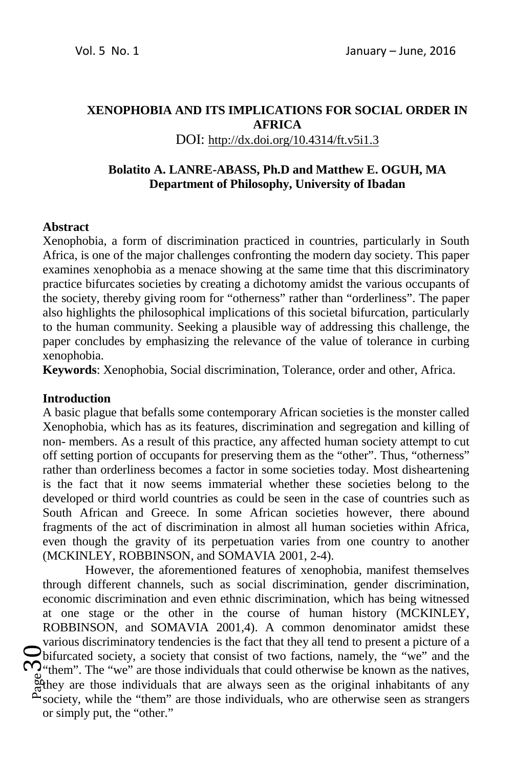## **XENOPHOBIA AND ITS IMPLICATIONS FOR SOCIAL ORDER IN AFRICA**  DOI: http://dx.doi.org/10.4314/ft.v5i1.3

# **Bolatito A. LANRE-ABASS, Ph.D and Matthew E. OGUH, MA Department of Philosophy, University of Ibadan**

## **Abstract**

Xenophobia, a form of discrimination practiced in countries, particularly in South Africa, is one of the major challenges confronting the modern day society. This paper examines xenophobia as a menace showing at the same time that this discriminatory practice bifurcates societies by creating a dichotomy amidst the various occupants of the society, thereby giving room for "otherness" rather than "orderliness". The paper also highlights the philosophical implications of this societal bifurcation, particularly to the human community. Seeking a plausible way of addressing this challenge, the paper concludes by emphasizing the relevance of the value of tolerance in curbing xenophobia.

**Keywords**: Xenophobia, Social discrimination, Tolerance, order and other, Africa.

## **Introduction**

A basic plague that befalls some contemporary African societies is the monster called Xenophobia, which has as its features, discrimination and segregation and killing of non- members. As a result of this practice, any affected human society attempt to cut off setting portion of occupants for preserving them as the "other". Thus, "otherness" rather than orderliness becomes a factor in some societies today. Most disheartening is the fact that it now seems immaterial whether these societies belong to the developed or third world countries as could be seen in the case of countries such as South African and Greece. In some African societies however, there abound fragments of the act of discrimination in almost all human societies within Africa, even though the gravity of its perpetuation varies from one country to another (MCKINLEY, ROBBINSON, and SOMAVIA 2001, 2-4).

Obifurcated society, a society that consist of two factions, namely, the "we" and the<br>
"them". The "we" are those individuals that could otherwise be known as the natives,<br>
gethey are those individuals that are always seen However, the aforementioned features of xenophobia, manifest themselves through different channels, such as social discrimination, gender discrimination, economic discrimination and even ethnic discrimination, which has being witnessed at one stage or the other in the course of human history (MCKINLEY, ROBBINSON, and SOMAVIA 2001,4). A common denominator amidst these various discriminatory tendencies is the fact that they all tend to present a picture of a bifurcated society, a society that consist of two factions, namely, the "we" and the "them". The "we" are those individuals that could otherwise be known as the natives,  $\tilde{\mathcal{L}}$  society, while the "them" are those individuals, who are otherwise seen as strangers or simply put, the "other."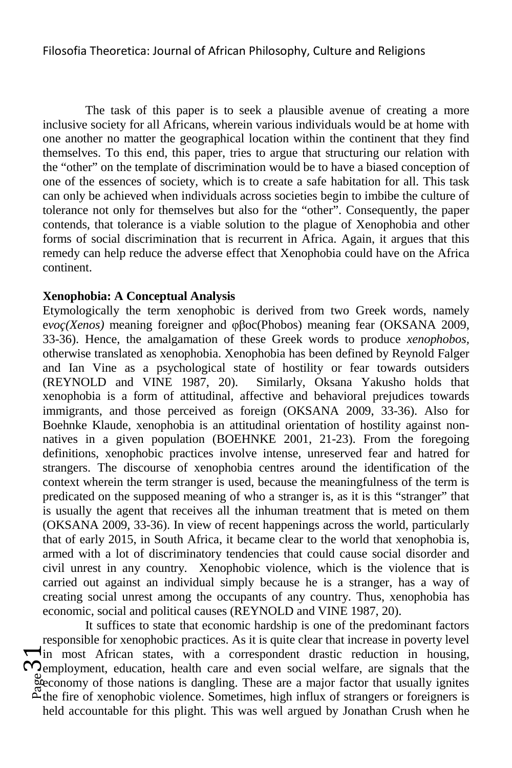The task of this paper is to seek a plausible avenue of creating a more inclusive society for all Africans, wherein various individuals would be at home with one another no matter the geographical location within the continent that they find themselves. To this end, this paper, tries to argue that structuring our relation with the "other" on the template of discrimination would be to have a biased conception of one of the essences of society, which is to create a safe habitation for all. This task can only be achieved when individuals across societies begin to imbibe the culture of tolerance not only for themselves but also for the "other". Consequently, the paper contends, that tolerance is a viable solution to the plague of Xenophobia and other forms of social discrimination that is recurrent in Africa. Again, it argues that this remedy can help reduce the adverse effect that Xenophobia could have on the Africa continent.

## **Xenophobia: A Conceptual Analysis**

Etymologically the term xenophobic is derived from two Greek words, namely e*voç(Xenos)* meaning foreigner and φβoc(Phobos) meaning fear (OKSANA 2009, 33-36). Hence, the amalgamation of these Greek words to produce *xenophobos,* otherwise translated as xenophobia. Xenophobia has been defined by Reynold Falger and Ian Vine as a psychological state of hostility or fear towards outsiders Similarly, Oksana Yakusho holds that xenophobia is a form of attitudinal, affective and behavioral prejudices towards immigrants, and those perceived as foreign (OKSANA 2009, 33-36). Also for Boehnke Klaude, xenophobia is an attitudinal orientation of hostility against nonnatives in a given population (BOEHNKE 2001, 21-23). From the foregoing definitions, xenophobic practices involve intense, unreserved fear and hatred for strangers. The discourse of xenophobia centres around the identification of the context wherein the term stranger is used, because the meaningfulness of the term is predicated on the supposed meaning of who a stranger is, as it is this "stranger" that is usually the agent that receives all the inhuman treatment that is meted on them (OKSANA 2009, 33-36). In view of recent happenings across the world, particularly that of early 2015, in South Africa, it became clear to the world that xenophobia is, armed with a lot of discriminatory tendencies that could cause social disorder and civil unrest in any country. Xenophobic violence, which is the violence that is carried out against an individual simply because he is a stranger, has a way of creating social unrest among the occupants of any country. Thus, xenophobia has economic, social and political causes (REYNOLD and VINE 1987, 20).

 $\sum_{\substack{\text{green} \ \text{green} \ \text{green}}}$  It suffices to state that economic hardship is one of the predominant factors responsible for xenophobic practices. As it is quite clear that increase in poverty level  $\overrightarrow{ }$  in most African states, with a correspondent drastic reduction in housing,  $\Omega$ <sub>employment, education, health care and even social welfare, are signals that the</sub> economy of those nations is dangling. These are a major factor that usually ignites the fire of xenophobic violence. Sometimes, high influx of strangers or foreigners is held accountable for this plight. This was well argued by Jonathan Crush when he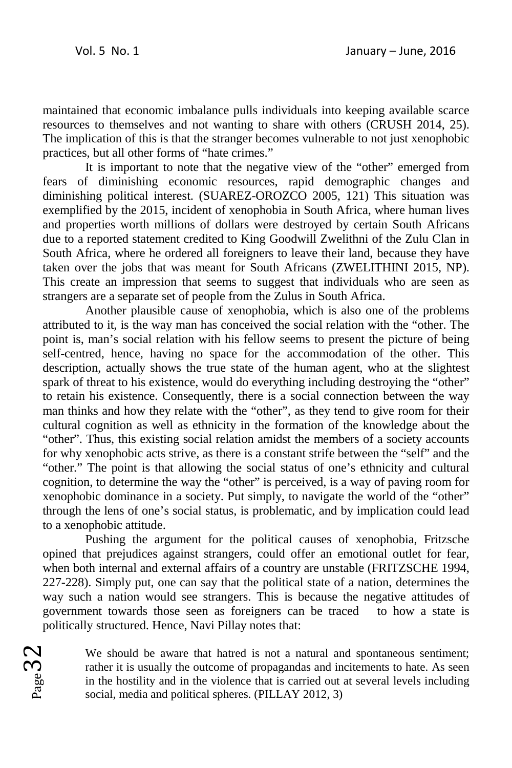maintained that economic imbalance pulls individuals into keeping available scarce resources to themselves and not wanting to share with others (CRUSH 2014, 25). The implication of this is that the stranger becomes vulnerable to not just xenophobic practices, but all other forms of "hate crimes."

 It is important to note that the negative view of the "other" emerged from fears of diminishing economic resources, rapid demographic changes and diminishing political interest. (SUAREZ-OROZCO 2005, 121) This situation was exemplified by the 2015, incident of xenophobia in South Africa, where human lives and properties worth millions of dollars were destroyed by certain South Africans due to a reported statement credited to King Goodwill Zwelithni of the Zulu Clan in South Africa, where he ordered all foreigners to leave their land, because they have taken over the jobs that was meant for South Africans (ZWELITHINI 2015, NP). This create an impression that seems to suggest that individuals who are seen as strangers are a separate set of people from the Zulus in South Africa.

 Another plausible cause of xenophobia, which is also one of the problems attributed to it, is the way man has conceived the social relation with the "other. The point is, man's social relation with his fellow seems to present the picture of being self-centred, hence, having no space for the accommodation of the other. This description, actually shows the true state of the human agent, who at the slightest spark of threat to his existence, would do everything including destroying the "other" to retain his existence. Consequently, there is a social connection between the way man thinks and how they relate with the "other", as they tend to give room for their cultural cognition as well as ethnicity in the formation of the knowledge about the "other". Thus, this existing social relation amidst the members of a society accounts for why xenophobic acts strive, as there is a constant strife between the "self" and the "other." The point is that allowing the social status of one's ethnicity and cultural cognition, to determine the way the "other" is perceived, is a way of paving room for xenophobic dominance in a society. Put simply, to navigate the world of the "other" through the lens of one's social status, is problematic, and by implication could lead to a xenophobic attitude.

 Pushing the argument for the political causes of xenophobia, Fritzsche opined that prejudices against strangers, could offer an emotional outlet for fear, when both internal and external affairs of a country are unstable (FRITZSCHE 1994, 227-228). Simply put, one can say that the political state of a nation, determines the way such a nation would see strangers. This is because the negative attitudes of government towards those seen as foreigners can be traced to how a state is politically structured. Hence, Navi Pillay notes that:

 $Page32$ 

We should be aware that hatred is not a natural and spontaneous sentiment; rather it is usually the outcome of propagandas and incitements to hate. As seen in the hostility and in the violence that is carried out at several levels including social, media and political spheres. (PILLAY 2012, 3)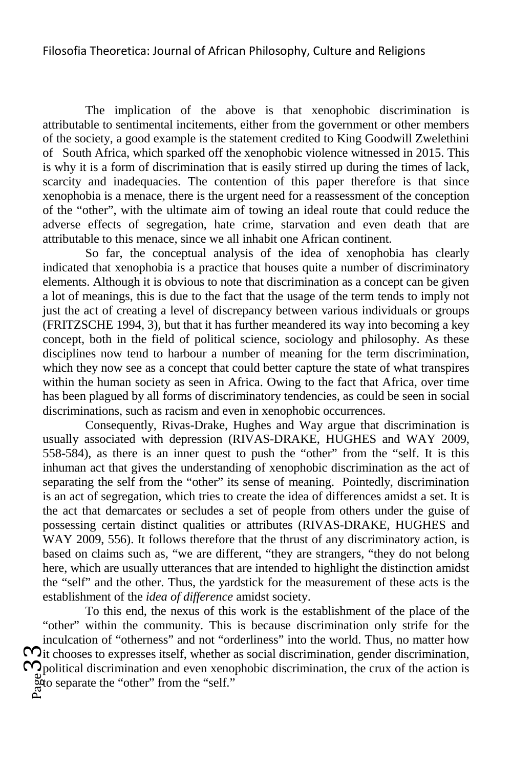The implication of the above is that xenophobic discrimination is attributable to sentimental incitements, either from the government or other members of the society, a good example is the statement credited to King Goodwill Zwelethini of South Africa, which sparked off the xenophobic violence witnessed in 2015. This is why it is a form of discrimination that is easily stirred up during the times of lack, scarcity and inadequacies. The contention of this paper therefore is that since xenophobia is a menace, there is the urgent need for a reassessment of the conception of the "other", with the ultimate aim of towing an ideal route that could reduce the adverse effects of segregation, hate crime, starvation and even death that are attributable to this menace, since we all inhabit one African continent.

 So far, the conceptual analysis of the idea of xenophobia has clearly indicated that xenophobia is a practice that houses quite a number of discriminatory elements. Although it is obvious to note that discrimination as a concept can be given a lot of meanings, this is due to the fact that the usage of the term tends to imply not just the act of creating a level of discrepancy between various individuals or groups (FRITZSCHE 1994, 3), but that it has further meandered its way into becoming a key concept, both in the field of political science, sociology and philosophy. As these disciplines now tend to harbour a number of meaning for the term discrimination, which they now see as a concept that could better capture the state of what transpires within the human society as seen in Africa. Owing to the fact that Africa, over time has been plagued by all forms of discriminatory tendencies, as could be seen in social discriminations, such as racism and even in xenophobic occurrences.

 Consequently, Rivas-Drake, Hughes and Way argue that discrimination is usually associated with depression (RIVAS-DRAKE, HUGHES and WAY 2009, 558-584), as there is an inner quest to push the "other" from the "self. It is this inhuman act that gives the understanding of xenophobic discrimination as the act of separating the self from the "other" its sense of meaning. Pointedly, discrimination is an act of segregation, which tries to create the idea of differences amidst a set. It is the act that demarcates or secludes a set of people from others under the guise of possessing certain distinct qualities or attributes (RIVAS-DRAKE, HUGHES and WAY 2009, 556). It follows therefore that the thrust of any discriminatory action, is based on claims such as, "we are different, "they are strangers, "they do not belong here, which are usually utterances that are intended to highlight the distinction amidst the "self" and the other. Thus, the yardstick for the measurement of these acts is the establishment of the *idea of difference* amidst society.

 $\mathcal{D}^{\text{int}}_{\text{zero}}$  To this end, the nexus of this work is the establishment of the place of the "other" within the community. This is because discrimination only strife for the inculcation of "otherness" and not "orderliness" into the world. Thus, no matter how  $\infty$ it chooses to expresses itself, whether as social discrimination, gender discrimination, political discrimination and even xenophobic discrimination, the crux of the action is to separate the "other" from the "self."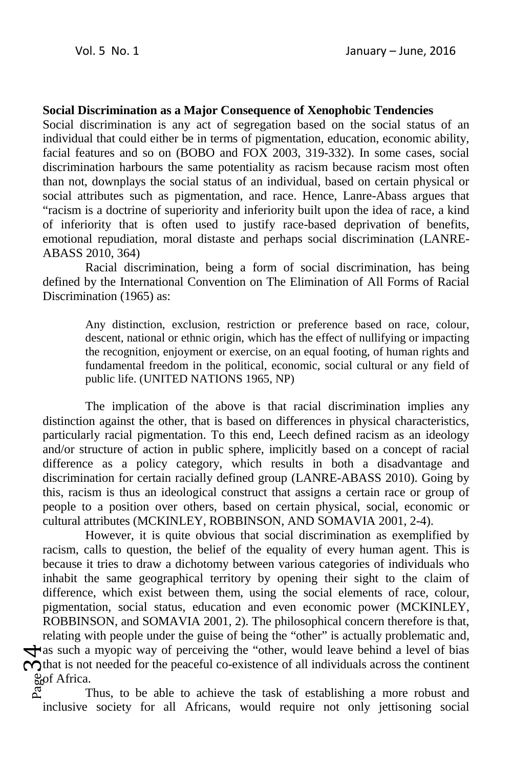#### **Social Discrimination as a Major Consequence of Xenophobic Tendencies**

Social discrimination is any act of segregation based on the social status of an individual that could either be in terms of pigmentation, education, economic ability, facial features and so on (BOBO and FOX 2003, 319-332). In some cases, social discrimination harbours the same potentiality as racism because racism most often than not, downplays the social status of an individual, based on certain physical or social attributes such as pigmentation, and race. Hence, Lanre-Abass argues that "racism is a doctrine of superiority and inferiority built upon the idea of race, a kind of inferiority that is often used to justify race-based deprivation of benefits, emotional repudiation, moral distaste and perhaps social discrimination (LANRE-ABASS 2010, 364)

 Racial discrimination, being a form of social discrimination, has being defined by the International Convention on The Elimination of All Forms of Racial Discrimination (1965) as:

Any distinction, exclusion, restriction or preference based on race, colour, descent, national or ethnic origin, which has the effect of nullifying or impacting the recognition, enjoyment or exercise, on an equal footing, of human rights and fundamental freedom in the political, economic, social cultural or any field of public life. (UNITED NATIONS 1965, NP)

The implication of the above is that racial discrimination implies any distinction against the other, that is based on differences in physical characteristics, particularly racial pigmentation. To this end, Leech defined racism as an ideology and/or structure of action in public sphere, implicitly based on a concept of racial difference as a policy category, which results in both a disadvantage and discrimination for certain racially defined group (LANRE-ABASS 2010). Going by this, racism is thus an ideological construct that assigns a certain race or group of people to a position over others, based on certain physical, social, economic or cultural attributes (MCKINLEY, ROBBINSON, AND SOMAVIA 2001, 2-4).

 $\Omega_{\rm age}^{\rm gas}$  However, it is quite obvious that social discrimination as exemplified by racism, calls to question, the belief of the equality of every human agent. This is because it tries to draw a dichotomy between various categories of individuals who inhabit the same geographical territory by opening their sight to the claim of difference, which exist between them, using the social elements of race, colour, pigmentation, social status, education and even economic power (MCKINLEY, ROBBINSON, and SOMAVIA 2001, 2). The philosophical concern therefore is that, relating with people under the guise of being the "other" is actually problematic and, as such a myopic way of perceiving the "other, would leave behind a level of bias  $\bullet$  that is not needed for the peaceful co-existence of all individuals across the continent of Africa.

Thus, to be able to achieve the task of establishing a more robust and inclusive society for all Africans, would require not only jettisoning social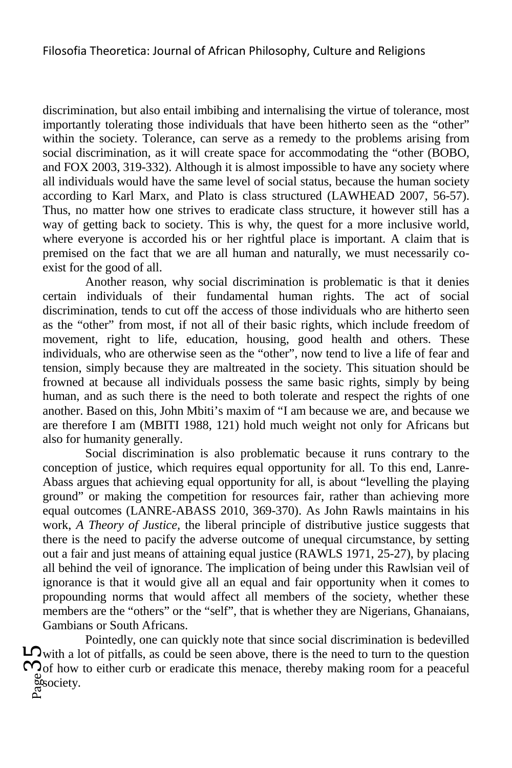discrimination, but also entail imbibing and internalising the virtue of tolerance, most importantly tolerating those individuals that have been hitherto seen as the "other" within the society. Tolerance, can serve as a remedy to the problems arising from social discrimination, as it will create space for accommodating the "other (BOBO, and FOX 2003, 319-332). Although it is almost impossible to have any society where all individuals would have the same level of social status, because the human society according to Karl Marx, and Plato is class structured (LAWHEAD 2007, 56-57). Thus, no matter how one strives to eradicate class structure, it however still has a way of getting back to society. This is why, the quest for a more inclusive world, where everyone is accorded his or her rightful place is important. A claim that is premised on the fact that we are all human and naturally, we must necessarily coexist for the good of all.

 Another reason, why social discrimination is problematic is that it denies certain individuals of their fundamental human rights. The act of social discrimination, tends to cut off the access of those individuals who are hitherto seen as the "other" from most, if not all of their basic rights, which include freedom of movement, right to life, education, housing, good health and others. These individuals, who are otherwise seen as the "other", now tend to live a life of fear and tension, simply because they are maltreated in the society. This situation should be frowned at because all individuals possess the same basic rights, simply by being human, and as such there is the need to both tolerate and respect the rights of one another. Based on this, John Mbiti's maxim of "I am because we are, and because we are therefore I am (MBITI 1988, 121) hold much weight not only for Africans but also for humanity generally.

 Social discrimination is also problematic because it runs contrary to the conception of justice, which requires equal opportunity for all. To this end, Lanre-Abass argues that achieving equal opportunity for all, is about "levelling the playing ground" or making the competition for resources fair, rather than achieving more equal outcomes (LANRE-ABASS 2010, 369-370). As John Rawls maintains in his work, *A Theory of Justice,* the liberal principle of distributive justice suggests that there is the need to pacify the adverse outcome of unequal circumstance, by setting out a fair and just means of attaining equal justice (RAWLS 1971, 25-27), by placing all behind the veil of ignorance. The implication of being under this Rawlsian veil of ignorance is that it would give all an equal and fair opportunity when it comes to propounding norms that would affect all members of the society, whether these members are the "others" or the "self", that is whether they are Nigerians, Ghanaians, Gambians or South Africans.

 $\mathcal{D}_{\text{age}}^{\text{out}}$  Pointedly, one can quickly note that since social discrimination is bedevilled  $\Box$  with a lot of pitfalls, as could be seen above, there is the need to turn to the question  $\Omega$  how to either curb or eradicate this menace, thereby making room for a peaceful society.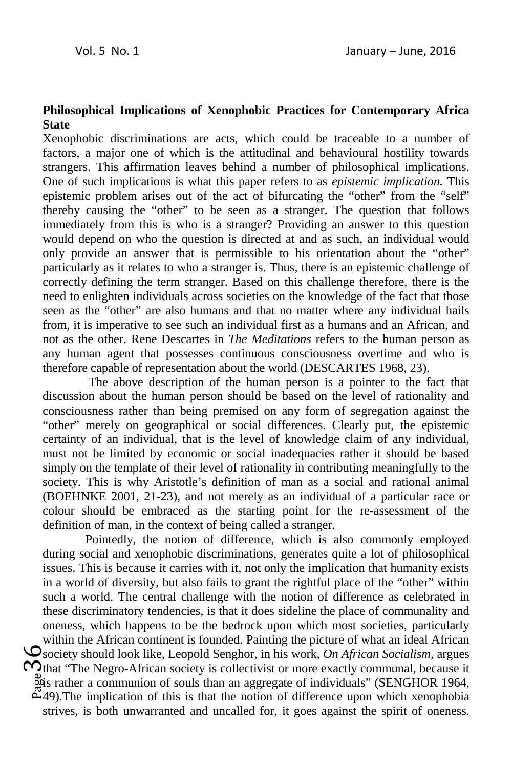## **Philosophical Implications of Xenophobic Practices for Contemporary Africa State**

Xenophobic discriminations are acts, which could be traceable to a number of factors, a major one of which is the attitudinal and behavioural hostility towards strangers. This affirmation leaves behind a number of philosophical implications. One of such implications is what this paper refers to as *epistemic implication.* This epistemic problem arises out of the act of bifurcating the "other" from the "self" thereby causing the "other" to be seen as a stranger. The question that follows immediately from this is who is a stranger? Providing an answer to this question would depend on who the question is directed at and as such, an individual would only provide an answer that is permissible to his orientation about the "other" particularly as it relates to who a stranger is. Thus, there is an epistemic challenge of correctly defining the term stranger. Based on this challenge therefore, there is the need to enlighten individuals across societies on the knowledge of the fact that those seen as the "other" are also humans and that no matter where any individual hails from, it is imperative to see such an individual first as a humans and an African, and not as the other. Rene Descartes in *The Meditations* refers to the human person as any human agent that possesses continuous consciousness overtime and who is therefore capable of representation about the world (DESCARTES 1968, 23).

 The above description of the human person is a pointer to the fact that discussion about the human person should be based on the level of rationality and consciousness rather than being premised on any form of segregation against the "other" merely on geographical or social differences. Clearly put, the epistemic certainty of an individual, that is the level of knowledge claim of any individual, must not be limited by economic or social inadequacies rather it should be based simply on the template of their level of rationality in contributing meaningfully to the society. This is why Aristotle's definition of man as a social and rational animal (BOEHNKE 2001, 21-23), and not merely as an individual of a particular race or colour should be embraced as the starting point for the re-assessment of the definition of man, in the context of being called a stranger.

 $\sum_{\substack{\text{obs} \ \text{g} \text{is} \ 1}}$  Pointedly, the notion of difference, which is also commonly employed during social and xenophobic discriminations, generates quite a lot of philosophical issues. This is because it carries with it, not only the implication that humanity exists in a world of diversity, but also fails to grant the rightful place of the "other" within such a world. The central challenge with the notion of difference as celebrated in these discriminatory tendencies, is that it does sideline the place of communality and oneness, which happens to be the bedrock upon which most societies, particularly within the African continent is founded. Painting the picture of what an ideal African society should look like, Leopold Senghor, in his work, *On African Socialism,* argues  $\infty$ that "The Negro-African society is collectivist or more exactly communal, because it is rather a communion of souls than an aggregate of individuals" (SENGHOR 1964, 49).The implication of this is that the notion of difference upon which xenophobia strives, is both unwarranted and uncalled for, it goes against the spirit of oneness.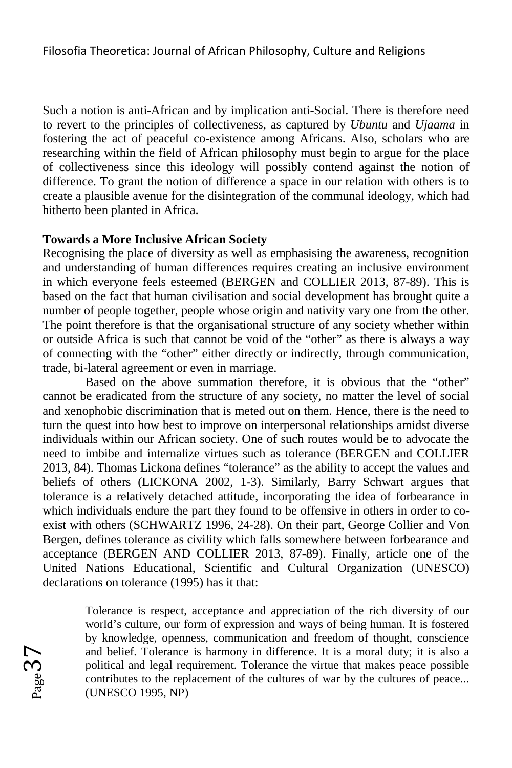Such a notion is anti-African and by implication anti-Social. There is therefore need to revert to the principles of collectiveness, as captured by *Ubuntu* and *Ujaama* in fostering the act of peaceful co-existence among Africans. Also, scholars who are researching within the field of African philosophy must begin to argue for the place of collectiveness since this ideology will possibly contend against the notion of difference. To grant the notion of difference a space in our relation with others is to create a plausible avenue for the disintegration of the communal ideology, which had hitherto been planted in Africa.

# **Towards a More Inclusive African Society**

Recognising the place of diversity as well as emphasising the awareness, recognition and understanding of human differences requires creating an inclusive environment in which everyone feels esteemed (BERGEN and COLLIER 2013, 87-89). This is based on the fact that human civilisation and social development has brought quite a number of people together, people whose origin and nativity vary one from the other. The point therefore is that the organisational structure of any society whether within or outside Africa is such that cannot be void of the "other" as there is always a way of connecting with the "other" either directly or indirectly, through communication, trade, bi-lateral agreement or even in marriage.

 Based on the above summation therefore, it is obvious that the "other" cannot be eradicated from the structure of any society, no matter the level of social and xenophobic discrimination that is meted out on them. Hence, there is the need to turn the quest into how best to improve on interpersonal relationships amidst diverse individuals within our African society. One of such routes would be to advocate the need to imbibe and internalize virtues such as tolerance (BERGEN and COLLIER 2013, 84). Thomas Lickona defines "tolerance" as the ability to accept the values and beliefs of others (LICKONA 2002, 1-3). Similarly, Barry Schwart argues that tolerance is a relatively detached attitude, incorporating the idea of forbearance in which individuals endure the part they found to be offensive in others in order to coexist with others (SCHWARTZ 1996, 24-28). On their part, George Collier and Von Bergen, defines tolerance as civility which falls somewhere between forbearance and acceptance (BERGEN AND COLLIER 2013, 87-89). Finally, article one of the United Nations Educational, Scientific and Cultural Organization (UNESCO) declarations on tolerance (1995) has it that:

Tolerance is respect, acceptance and appreciation of the rich diversity of our world's culture, our form of expression and ways of being human. It is fostered by knowledge, openness, communication and freedom of thought, conscience and belief. Tolerance is harmony in difference. It is a moral duty; it is also a political and legal requirement. Tolerance the virtue that makes peace possible contributes to the replacement of the cultures of war by the cultures of peace... (UNESCO 1995, NP)

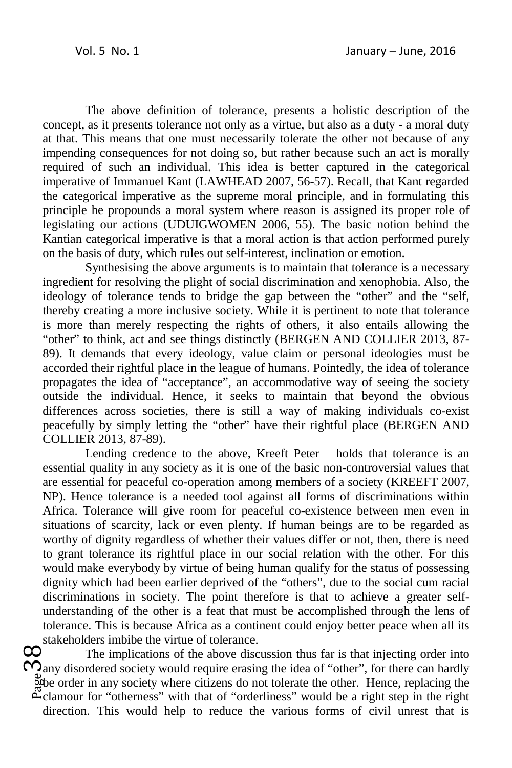The above definition of tolerance, presents a holistic description of the concept, as it presents tolerance not only as a virtue, but also as a duty - a moral duty at that. This means that one must necessarily tolerate the other not because of any impending consequences for not doing so, but rather because such an act is morally required of such an individual. This idea is better captured in the categorical imperative of Immanuel Kant (LAWHEAD 2007, 56-57). Recall, that Kant regarded the categorical imperative as the supreme moral principle, and in formulating this principle he propounds a moral system where reason is assigned its proper role of legislating our actions (UDUIGWOMEN 2006, 55). The basic notion behind the Kantian categorical imperative is that a moral action is that action performed purely on the basis of duty, which rules out self-interest, inclination or emotion.

 Synthesising the above arguments is to maintain that tolerance is a necessary ingredient for resolving the plight of social discrimination and xenophobia. Also, the ideology of tolerance tends to bridge the gap between the "other" and the "self, thereby creating a more inclusive society. While it is pertinent to note that tolerance is more than merely respecting the rights of others, it also entails allowing the "other" to think, act and see things distinctly (BERGEN AND COLLIER 2013, 87- 89). It demands that every ideology, value claim or personal ideologies must be accorded their rightful place in the league of humans. Pointedly, the idea of tolerance propagates the idea of "acceptance", an accommodative way of seeing the society outside the individual. Hence, it seeks to maintain that beyond the obvious differences across societies, there is still a way of making individuals co-exist peacefully by simply letting the "other" have their rightful place (BERGEN AND COLLIER 2013, 87-89).

 Lending credence to the above, Kreeft Peter holds that tolerance is an essential quality in any society as it is one of the basic non-controversial values that are essential for peaceful co-operation among members of a society (KREEFT 2007, NP). Hence tolerance is a needed tool against all forms of discriminations within Africa. Tolerance will give room for peaceful co-existence between men even in situations of scarcity, lack or even plenty. If human beings are to be regarded as worthy of dignity regardless of whether their values differ or not, then, there is need to grant tolerance its rightful place in our social relation with the other. For this would make everybody by virtue of being human qualify for the status of possessing dignity which had been earlier deprived of the "others", due to the social cum racial discriminations in society. The point therefore is that to achieve a greater selfunderstanding of the other is a feat that must be accomplished through the lens of tolerance. This is because Africa as a continent could enjoy better peace when all its stakeholders imbibe the virtue of tolerance.

 $\mathop {\max }\limits_{{\rm{Page}} \atop {\rm{E}}_{\rm{cls}}}$  The implications of the above discussion thus far is that injecting order into any disordered society would require erasing the idea of "other", for there can hardly be order in any society where citizens do not tolerate the other. Hence, replacing the  $\mathbb{E}_{\text{clamour}}$  for "otherness" with that of "orderliness" would be a right step in the right direction. This would help to reduce the various forms of civil unrest that is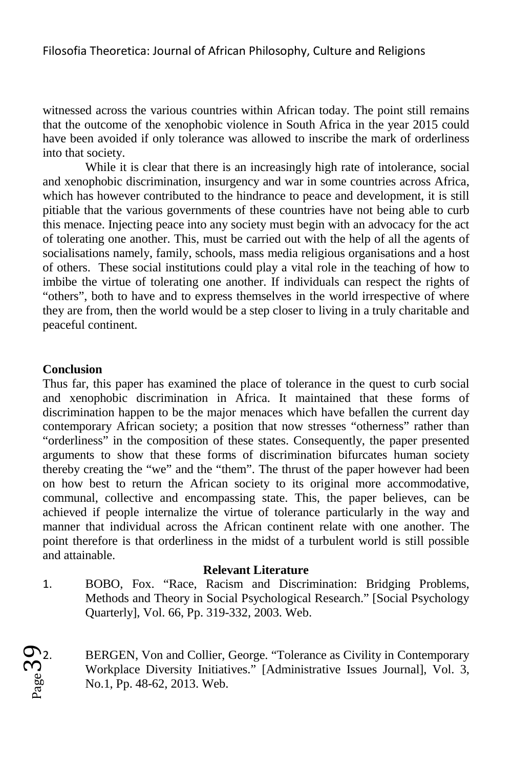witnessed across the various countries within African today. The point still remains that the outcome of the xenophobic violence in South Africa in the year 2015 could have been avoided if only tolerance was allowed to inscribe the mark of orderliness into that society.

 While it is clear that there is an increasingly high rate of intolerance, social and xenophobic discrimination, insurgency and war in some countries across Africa, which has however contributed to the hindrance to peace and development, it is still pitiable that the various governments of these countries have not being able to curb this menace. Injecting peace into any society must begin with an advocacy for the act of tolerating one another. This, must be carried out with the help of all the agents of socialisations namely, family, schools, mass media religious organisations and a host of others. These social institutions could play a vital role in the teaching of how to imbibe the virtue of tolerating one another. If individuals can respect the rights of "others", both to have and to express themselves in the world irrespective of where they are from, then the world would be a step closer to living in a truly charitable and peaceful continent.

# **Conclusion**

Thus far, this paper has examined the place of tolerance in the quest to curb social and xenophobic discrimination in Africa. It maintained that these forms of discrimination happen to be the major menaces which have befallen the current day contemporary African society; a position that now stresses "otherness" rather than "orderliness" in the composition of these states. Consequently, the paper presented arguments to show that these forms of discrimination bifurcates human society thereby creating the "we" and the "them". The thrust of the paper however had been on how best to return the African society to its original more accommodative, communal, collective and encompassing state. This, the paper believes, can be achieved if people internalize the virtue of tolerance particularly in the way and manner that individual across the African continent relate with one another. The point therefore is that orderliness in the midst of a turbulent world is still possible and attainable.

#### **Relevant Literature**

1. BOBO, Fox. "Race, Racism and Discrimination: Bridging Problems, Methods and Theory in Social Psychological Research." [Social Psychology Quarterly], Vol. 66, Pp. 319-332, 2003. Web.

 $\mathcal{S}_{\mathsf{E}}$ Page

BERGEN, Von and Collier, George. "Tolerance as Civility in Contemporary Workplace Diversity Initiatives." [Administrative Issues Journal], Vol. 3, No.1, Pp. 48-62, 2013. Web.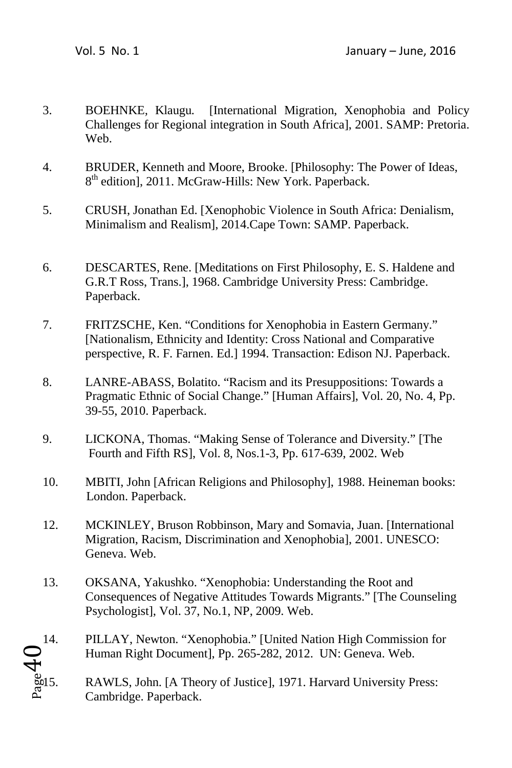- 3. BOEHNKE*,* Klaugu*.* [International Migration, Xenophobia and Policy Challenges for Regional integration in South Africa], 2001. SAMP: Pretoria. Web.
- 4. BRUDER, Kenneth and Moore, Brooke. [Philosophy: The Power of Ideas, 8<sup>th</sup> edition], 2011. McGraw-Hills: New York. Paperback.
- 5. CRUSH, Jonathan Ed. [Xenophobic Violence in South Africa: Denialism, Minimalism and Realism], 2014.Cape Town: SAMP. Paperback.
- 6. DESCARTES, Rene. [Meditations on First Philosophy, E. S. Haldene and G.R.T Ross, Trans.], 1968. Cambridge University Press: Cambridge. Paperback.
- 7. FRITZSCHE, Ken. "Conditions for Xenophobia in Eastern Germany." [Nationalism, Ethnicity and Identity: Cross National and Comparative perspective, R. F. Farnen. Ed.] 1994. Transaction: Edison NJ. Paperback.
- 8. LANRE-ABASS, Bolatito. "Racism and its Presuppositions: Towards a Pragmatic Ethnic of Social Change." [Human Affairs], Vol. 20, No. 4, Pp. 39-55, 2010. Paperback.
- 9. LICKONA, Thomas. "Making Sense of Tolerance and Diversity." [The Fourth and Fifth RS], Vol. 8, Nos.1-3, Pp. 617-639, 2002. Web
- 10. MBITI, John [African Religions and Philosophy], 1988. Heineman books: London. Paperback.
- 12. MCKINLEY, Bruson Robbinson, Mary and Somavia, Juan. [International Migration, Racism, Discrimination and Xenophobia], 2001. UNESCO: Geneva. Web.
- 13. OKSANA, Yakushko. "Xenophobia: Understanding the Root and Consequences of Negative Attitudes Towards Migrants." [The Counseling Psychologist], Vol. 37, No.1, NP, 2009. Web.

 $P_{\text{agg}}$ 40

- 14. PILLAY, Newton. "Xenophobia." [United Nation High Commission for Human Right Document], Pp. 265-282, 2012. UN: Geneva. Web.
	- RAWLS, John. [A Theory of Justice], 1971. Harvard University Press: Cambridge. Paperback.